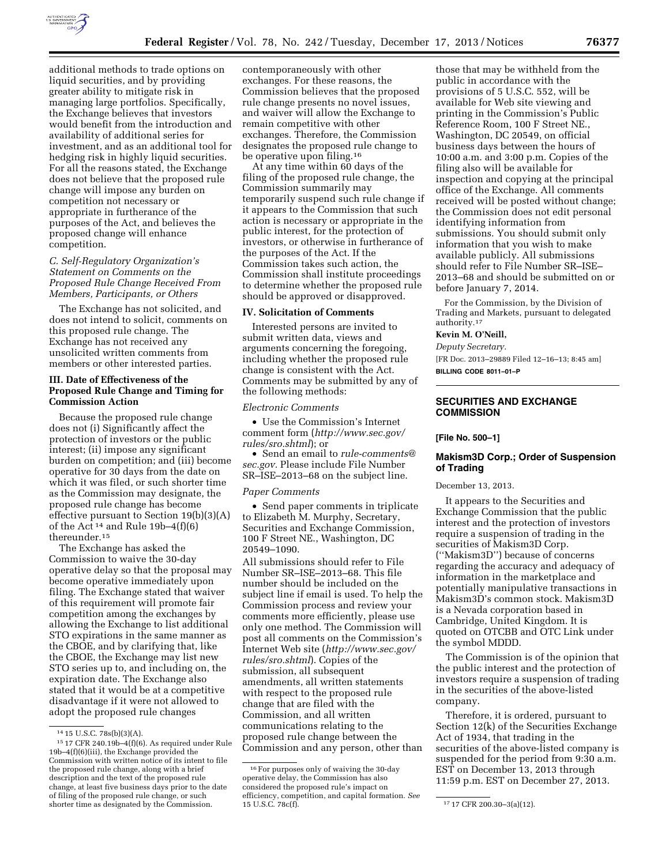

additional methods to trade options on liquid securities, and by providing greater ability to mitigate risk in managing large portfolios. Specifically, the Exchange believes that investors would benefit from the introduction and availability of additional series for investment, and as an additional tool for hedging risk in highly liquid securities. For all the reasons stated, the Exchange does not believe that the proposed rule change will impose any burden on competition not necessary or appropriate in furtherance of the purposes of the Act, and believes the proposed change will enhance competition.

### *C. Self-Regulatory Organization's Statement on Comments on the Proposed Rule Change Received From Members, Participants, or Others*

The Exchange has not solicited, and does not intend to solicit, comments on this proposed rule change. The Exchange has not received any unsolicited written comments from members or other interested parties.

# **III. Date of Effectiveness of the Proposed Rule Change and Timing for Commission Action**

Because the proposed rule change does not (i) Significantly affect the protection of investors or the public interest; (ii) impose any significant burden on competition; and (iii) become operative for 30 days from the date on which it was filed, or such shorter time as the Commission may designate, the proposed rule change has become effective pursuant to Section 19(b)(3)(A) of the Act<sup>14</sup> and Rule 19b–4 $(f)(6)$ thereunder.15

The Exchange has asked the Commission to waive the 30-day operative delay so that the proposal may become operative immediately upon filing. The Exchange stated that waiver of this requirement will promote fair competition among the exchanges by allowing the Exchange to list additional STO expirations in the same manner as the CBOE, and by clarifying that, like the CBOE, the Exchange may list new STO series up to, and including on, the expiration date. The Exchange also stated that it would be at a competitive disadvantage if it were not allowed to adopt the proposed rule changes

contemporaneously with other exchanges. For these reasons, the Commission believes that the proposed rule change presents no novel issues, and waiver will allow the Exchange to remain competitive with other exchanges. Therefore, the Commission designates the proposed rule change to be operative upon filing.16

At any time within 60 days of the filing of the proposed rule change, the Commission summarily may temporarily suspend such rule change if it appears to the Commission that such action is necessary or appropriate in the public interest, for the protection of investors, or otherwise in furtherance of the purposes of the Act. If the Commission takes such action, the Commission shall institute proceedings to determine whether the proposed rule should be approved or disapproved.

#### **IV. Solicitation of Comments**

Interested persons are invited to submit written data, views and arguments concerning the foregoing, including whether the proposed rule change is consistent with the Act. Comments may be submitted by any of the following methods:

#### *Electronic Comments*

• Use the Commission's Internet comment form (*[http://www.sec.gov/](http://www.sec.gov/rules/sro.shtml) [rules/sro.shtml](http://www.sec.gov/rules/sro.shtml)*); or

• Send an email to *[rule-comments@](mailto:rule-comments@sec.gov) [sec.gov.](mailto:rule-comments@sec.gov)* Please include File Number SR–ISE–2013–68 on the subject line.

#### *Paper Comments*

• Send paper comments in triplicate to Elizabeth M. Murphy, Secretary, Securities and Exchange Commission, 100 F Street NE., Washington, DC 20549–1090.

All submissions should refer to File Number SR–ISE–2013–68. This file number should be included on the subject line if email is used. To help the Commission process and review your comments more efficiently, please use only one method. The Commission will post all comments on the Commission's Internet Web site (*[http://www.sec.gov/](http://www.sec.gov/rules/sro.shtml) [rules/sro.shtml](http://www.sec.gov/rules/sro.shtml)*). Copies of the submission, all subsequent amendments, all written statements with respect to the proposed rule change that are filed with the Commission, and all written communications relating to the proposed rule change between the Commission and any person, other than

those that may be withheld from the public in accordance with the provisions of 5 U.S.C. 552, will be available for Web site viewing and printing in the Commission's Public Reference Room, 100 F Street NE., Washington, DC 20549, on official business days between the hours of 10:00 a.m. and 3:00 p.m. Copies of the filing also will be available for inspection and copying at the principal office of the Exchange. All comments received will be posted without change; the Commission does not edit personal identifying information from submissions. You should submit only information that you wish to make available publicly. All submissions should refer to File Number SR–ISE– 2013–68 and should be submitted on or before January 7, 2014.

For the Commission, by the Division of Trading and Markets, pursuant to delegated authority.17

#### **Kevin M. O'Neill,**

*Deputy Secretary.* 

[FR Doc. 2013–29889 Filed 12–16–13; 8:45 am] **BILLING CODE 8011–01–P** 

# **SECURITIES AND EXCHANGE COMMISSION**

#### **[File No. 500–1]**

### **Makism3D Corp.; Order of Suspension of Trading**

December 13, 2013.

It appears to the Securities and Exchange Commission that the public interest and the protection of investors require a suspension of trading in the securities of Makism3D Corp. (''Makism3D'') because of concerns regarding the accuracy and adequacy of information in the marketplace and potentially manipulative transactions in Makism3D's common stock. Makism3D is a Nevada corporation based in Cambridge, United Kingdom. It is quoted on OTCBB and OTC Link under the symbol MDDD.

The Commission is of the opinion that the public interest and the protection of investors require a suspension of trading in the securities of the above-listed company.

Therefore, it is ordered, pursuant to Section 12(k) of the Securities Exchange Act of 1934, that trading in the securities of the above-listed company is suspended for the period from 9:30 a.m. EST on December 13, 2013 through 11:59 p.m. EST on December 27, 2013.

<sup>14</sup> 15 U.S.C. 78s(b)(3)(A).

<sup>15</sup> 17 CFR 240.19b–4(f)(6). As required under Rule 19b–4(f)(6)(iii), the Exchange provided the Commission with written notice of its intent to file the proposed rule change, along with a brief description and the text of the proposed rule change, at least five business days prior to the date of filing of the proposed rule change, or such shorter time as designated by the Commission.

<sup>16</sup>For purposes only of waiving the 30-day operative delay, the Commission has also considered the proposed rule's impact on efficiency, competition, and capital formation. *See* 

<sup>17 17</sup> CFR 200.30-3(a)(12).